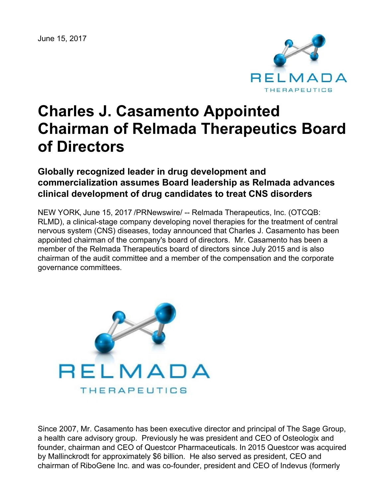June 15, 2017



# **Charles J. Casamento Appointed Chairman of Relmada Therapeutics Board of Directors**

# **Globally recognized leader in drug development and commercialization assumes Board leadership as Relmada advances clinical development of drug candidates to treat CNS disorders**

NEW YORK, June 15, 2017 /PRNewswire/ -- Relmada Therapeutics, Inc. (OTCQB: RLMD), a clinical-stage company developing novel therapies for the treatment of central nervous system (CNS) diseases, today announced that Charles J. Casamento has been appointed chairman of the company's board of directors. Mr. Casamento has been a member of the Relmada Therapeutics board of directors since July 2015 and is also chairman of the audit committee and a member of the compensation and the corporate governance committees.



Since 2007, Mr. Casamento has been executive director and principal of The Sage Group, a health care advisory group. Previously he was president and CEO of Osteologix and founder, chairman and CEO of Questcor Pharmaceuticals. In 2015 Questcor was acquired by Mallinckrodt for approximately \$6 billion. He also served as president, CEO and chairman of RiboGene Inc. and was co-founder, president and CEO of Indevus (formerly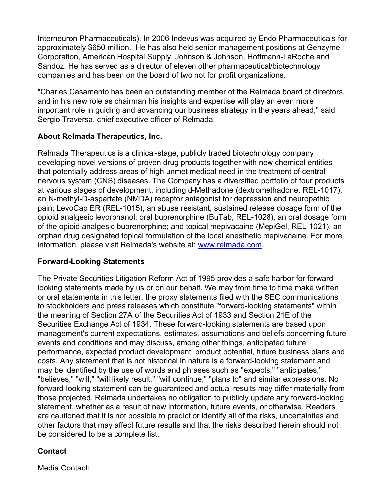Interneuron Pharmaceuticals). In 2006 Indevus was acquired by Endo Pharmaceuticals for approximately \$650 million. He has also held senior management positions at Genzyme Corporation, American Hospital Supply, Johnson & Johnson, Hoffmann-LaRoche and Sandoz. He has served as a director of eleven other pharmaceutical/biotechnology companies and has been on the board of two not for profit organizations.

"Charles Casamento has been an outstanding member of the Relmada board of directors, and in his new role as chairman his insights and expertise will play an even more important role in guiding and advancing our business strategy in the years ahead," said Sergio Traversa, chief executive officer of Relmada.

## **About Relmada Therapeutics, Inc.**

Relmada Therapeutics is a clinical-stage, publicly traded biotechnology company developing novel versions of proven drug products together with new chemical entities that potentially address areas of high unmet medical need in the treatment of central nervous system (CNS) diseases. The Company has a diversified portfolio of four products at various stages of development, including d-Methadone (dextromethadone, REL-1017), an N-methyl-D-aspartate (NMDA) receptor antagonist for depression and neuropathic pain; LevoCap ER (REL-1015), an abuse resistant, sustained release dosage form of the opioid analgesic levorphanol; oral buprenorphine (BuTab, REL-1028), an oral dosage form of the opioid analgesic buprenorphine; and topical mepivacaine (MepiGel, REL-1021), an orphan drug designated topical formulation of the local anesthetic mepivacaine. For more information, please visit Relmada's website at: [www.relmada.com](http://www.relmada.com/).

### **Forward-Looking Statements**

The Private Securities Litigation Reform Act of 1995 provides a safe harbor for forwardlooking statements made by us or on our behalf. We may from time to time make written or oral statements in this letter, the proxy statements filed with the SEC communications to stockholders and press releases which constitute "forward-looking statements" within the meaning of Section 27A of the Securities Act of 1933 and Section 21E of the Securities Exchange Act of 1934. These forward-looking statements are based upon management's current expectations, estimates, assumptions and beliefs concerning future events and conditions and may discuss, among other things, anticipated future performance, expected product development, product potential, future business plans and costs. Any statement that is not historical in nature is a forward-looking statement and may be identified by the use of words and phrases such as "expects," "anticipates," "believes," "will," "will likely result," "will continue," "plans to" and similar expressions. No forward-looking statement can be guaranteed and actual results may differ materially from those projected. Relmada undertakes no obligation to publicly update any forward-looking statement, whether as a result of new information, future events, or otherwise. Readers are cautioned that it is not possible to predict or identify all of the risks, uncertainties and other factors that may affect future results and that the risks described herein should not be considered to be a complete list.

### **Contact**

Media Contact: